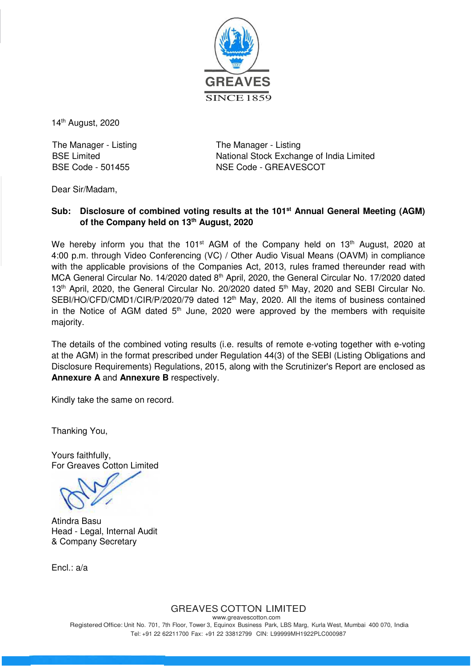

14th August, 2020

The Manager - Listing The Manager - Listing

BSE Limited National Stock Exchange of India Limited BSE Code - 501455 NSE Code - GREAVESCOT

Dear Sir/Madam,

## **Sub: Disclosure of combined voting results at the 101st Annual General Meeting (AGM) of the Company held on 13th August, 2020**

We hereby inform you that the 101<sup>st</sup> AGM of the Company held on 13<sup>th</sup> August, 2020 at 4:00 p.m. through Video Conferencing (VC) / Other Audio Visual Means (OAVM) in compliance with the applicable provisions of the Companies Act, 2013, rules framed thereunder read with MCA General Circular No. 14/2020 dated 8<sup>th</sup> April, 2020, the General Circular No. 17/2020 dated 13<sup>th</sup> April, 2020, the General Circular No. 20/2020 dated 5<sup>th</sup> May, 2020 and SEBI Circular No. SEBI/HO/CFD/CMD1/CIR/P/2020/79 dated 12<sup>th</sup> May, 2020. All the items of business contained in the Notice of AGM dated  $5<sup>th</sup>$  June, 2020 were approved by the members with requisite majority.

The details of the combined voting results (i.e. results of remote e-voting together with e-voting at the AGM) in the format prescribed under Regulation 44(3) of the SEBI (Listing Obligations and Disclosure Requirements) Regulations, 2015, along with the Scrutinizer's Report are enclosed as **Annexure A** and **Annexure B** respectively.

Kindly take the same on record.

Thanking You,

Yours faithfully, For Greaves Cotton Limited

Atindra Basu Head - Legal, Internal Audit & Company Secretary

Encl.: a/a

# GREAVES COTTON LIMITED

www.greavescotton.com Registered Office: Unit No. 701, 7th Floor, Tower 3, Equinox Business Park, LBS Marg, Kurla West, Mumbai 400 070, India Tel: +91 22 62211700 Fax: +91 22 33812799 CIN: L99999MH1922PLC000987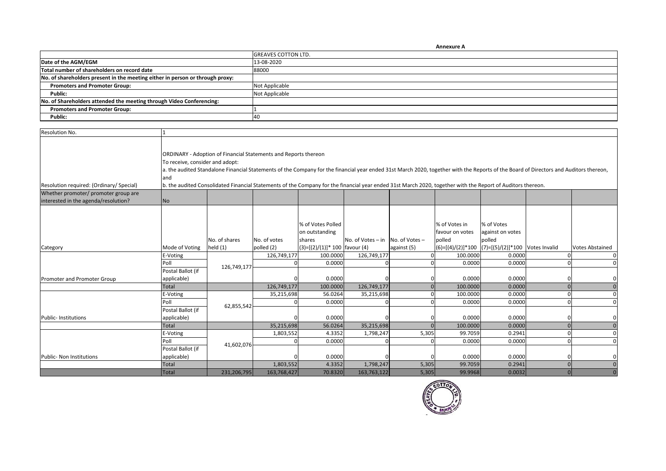|                                                                               | <b>Annexure A</b>          |
|-------------------------------------------------------------------------------|----------------------------|
|                                                                               | <b>GREAVES COTTON LTD.</b> |
| Date of the AGM/EGM                                                           | 13-08-2020                 |
| Total number of shareholders on record date                                   | 88000                      |
| No. of shareholders present in the meeting either in person or through proxy: |                            |
| <b>Promoters and Promoter Group:</b>                                          | Not Applicable             |
| Public:                                                                       | Not Applicable             |
| No. of Shareholders attended the meeting through Video Conferencing:          |                            |
| <b>Promoters and Promoter Group:</b>                                          |                            |
| Public:                                                                       | 40                         |

| Resolution No.                           |                                                                                                                                                                                                                                                                                                                                                                                                                                                                   |                          |                            |                                                                                  |                   |                               |                                            |                                                             |  |                        |
|------------------------------------------|-------------------------------------------------------------------------------------------------------------------------------------------------------------------------------------------------------------------------------------------------------------------------------------------------------------------------------------------------------------------------------------------------------------------------------------------------------------------|--------------------------|----------------------------|----------------------------------------------------------------------------------|-------------------|-------------------------------|--------------------------------------------|-------------------------------------------------------------|--|------------------------|
| Resolution required: (Ordinary/ Special) | ORDINARY - Adoption of Financial Statements and Reports thereon<br>To receive, consider and adopt:<br>a. the audited Standalone Financial Statements of the Company for the financial year ended 31st March 2020, together with the Reports of the Board of Directors and Auditors thereon,<br>and<br>b. the audited Consolidated Financial Statements of the Company for the financial year ended 31st March 2020, together with the Report of Auditors thereon. |                          |                            |                                                                                  |                   |                               |                                            |                                                             |  |                        |
| Whether promoter/ promoter group are     |                                                                                                                                                                                                                                                                                                                                                                                                                                                                   |                          |                            |                                                                                  |                   |                               |                                            |                                                             |  |                        |
| interested in the agenda/resolution?     | No                                                                                                                                                                                                                                                                                                                                                                                                                                                                |                          |                            |                                                                                  |                   |                               |                                            |                                                             |  |                        |
|                                          | Mode of Voting                                                                                                                                                                                                                                                                                                                                                                                                                                                    | No. of shares<br>held(1) | No. of votes<br>polled (2) | % of Votes Polled<br>on outstanding<br>shares<br>(3)=[(2)/(1)]* 100   favour (4) | No. of Votes - in | No. of Votes -<br>against (5) | % of Votes in<br>favour on votes<br>polled | % of Votes<br>against on votes<br>polled                    |  | <b>Votes Abstained</b> |
| Category                                 | E-Voting                                                                                                                                                                                                                                                                                                                                                                                                                                                          |                          | 126,749,177                | 100.0000                                                                         | 126,749,177       |                               | 100.0000                                   | (6)=[(4)/(2)]*100 (7)=[(5)/(2)]*100 Votes Invalid<br>0.0000 |  |                        |
|                                          | Poll                                                                                                                                                                                                                                                                                                                                                                                                                                                              |                          | n                          | 0.0000                                                                           |                   |                               | 0.0000                                     | 0.0000                                                      |  |                        |
| Promoter and Promoter Group              | Postal Ballot (if<br>applicable)                                                                                                                                                                                                                                                                                                                                                                                                                                  | 126,749,177              |                            | 0.0000                                                                           |                   |                               | 0.0000                                     | 0.0000                                                      |  |                        |
|                                          | Total                                                                                                                                                                                                                                                                                                                                                                                                                                                             |                          | 126,749,177                | 100.0000                                                                         | 126,749,177       |                               | 100.0000                                   | 0.0000                                                      |  |                        |
|                                          | E-Voting                                                                                                                                                                                                                                                                                                                                                                                                                                                          |                          | 35,215,698                 | 56.0264                                                                          | 35,215,698        |                               | 100.0000                                   | 0.0000                                                      |  |                        |
|                                          | Poll                                                                                                                                                                                                                                                                                                                                                                                                                                                              |                          |                            | 0.0000                                                                           |                   |                               | 0.0000                                     | 0.0000                                                      |  |                        |
| Public- Institutions                     | Postal Ballot (if<br>applicable)                                                                                                                                                                                                                                                                                                                                                                                                                                  | 62,855,542               |                            | 0.0000                                                                           |                   |                               | 0.0000                                     | 0.0000                                                      |  |                        |
|                                          | <b>Total</b>                                                                                                                                                                                                                                                                                                                                                                                                                                                      |                          | 35,215,698                 | 56.0264                                                                          | 35,215,698        |                               | 100.0000                                   | 0.0000                                                      |  |                        |
|                                          | E-Voting                                                                                                                                                                                                                                                                                                                                                                                                                                                          |                          | 1,803,552                  | 4.3352                                                                           | 1,798,247         | 5,305                         | 99.7059                                    | 0.2941                                                      |  |                        |
|                                          | Poll                                                                                                                                                                                                                                                                                                                                                                                                                                                              | 41,602,076               |                            | 0.0000                                                                           |                   |                               | 0.0000                                     | 0.0000                                                      |  |                        |
|                                          | Postal Ballot (if                                                                                                                                                                                                                                                                                                                                                                                                                                                 |                          |                            |                                                                                  |                   |                               |                                            |                                                             |  |                        |
| Public- Non Institutions                 | applicable)                                                                                                                                                                                                                                                                                                                                                                                                                                                       |                          |                            | 0.0000                                                                           |                   |                               | 0.0000                                     | 0.0000                                                      |  |                        |
|                                          | <b>Total</b>                                                                                                                                                                                                                                                                                                                                                                                                                                                      |                          | 1,803,552                  | 4.3352                                                                           | 1,798,247         | 5,305                         | 99.7059                                    | 0.2941                                                      |  |                        |
|                                          | <b>Total</b>                                                                                                                                                                                                                                                                                                                                                                                                                                                      | 231,206,795              | 163,768,427                | 70.8320                                                                          | 163,763,122       | 5,305                         | 99.9968                                    | 0.0032                                                      |  |                        |

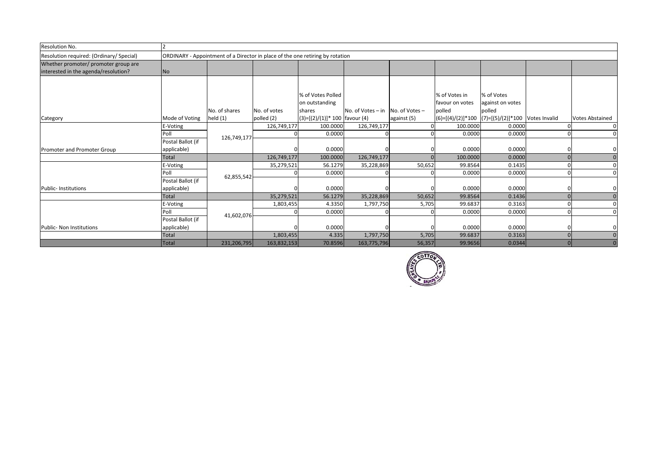| Resolution No.                           |                   |                                                                               |              |                                |                     |                |                 |                                                       |  |                        |
|------------------------------------------|-------------------|-------------------------------------------------------------------------------|--------------|--------------------------------|---------------------|----------------|-----------------|-------------------------------------------------------|--|------------------------|
| Resolution required: (Ordinary/ Special) |                   | ORDINARY - Appointment of a Director in place of the one retiring by rotation |              |                                |                     |                |                 |                                                       |  |                        |
| Whether promoter/ promoter group are     |                   |                                                                               |              |                                |                     |                |                 |                                                       |  |                        |
| interested in the agenda/resolution?     | No                |                                                                               |              |                                |                     |                |                 |                                                       |  |                        |
|                                          |                   |                                                                               |              |                                |                     |                |                 |                                                       |  |                        |
|                                          |                   |                                                                               |              |                                |                     |                |                 |                                                       |  |                        |
|                                          |                   |                                                                               |              | % of Votes Polled              |                     |                | % of Votes in   | % of Votes                                            |  |                        |
|                                          |                   |                                                                               |              | on outstanding                 |                     |                | favour on votes | against on votes                                      |  |                        |
|                                          |                   | No. of shares                                                                 | No. of votes | shares                         | No. of Votes $-$ in | No. of Votes - | polled          | polled                                                |  |                        |
| Category                                 | Mode of Voting    | held $(1)$                                                                    | polled (2)   | $(3)=[(2)/(1)]*100$ favour (4) |                     | against (5)    |                 | $(6)=[(4)/(2)]*100$ $(7)=[(5)/(2)]*100$ Votes Invalid |  | <b>Votes Abstained</b> |
|                                          | E-Voting          |                                                                               | 126,749,177  | 100.0000                       | 126,749,177         |                | 100.0000        | 0.0000                                                |  | $\mathbf 0$            |
|                                          | Poll              |                                                                               |              | 0.0000                         |                     |                | 0.0000          | 0.0000                                                |  | $\Omega$               |
|                                          | Postal Ballot (if | 126,749,177                                                                   |              |                                |                     |                |                 |                                                       |  |                        |
| Promoter and Promoter Group              | applicable)       |                                                                               |              | 0.0000                         |                     |                | 0.0000          | 0.0000                                                |  |                        |
|                                          | Total             |                                                                               | 126,749,177  | 100.0000                       | 126,749,177         |                | 100.0000        | 0.0000                                                |  | $\Omega$               |
|                                          | E-Voting          |                                                                               | 35,279,521   | 56.1279                        | 35,228,869          | 50,652         | 99.8564         | 0.1435                                                |  | $\Omega$               |
|                                          | Poll              |                                                                               |              | 0.0000                         |                     |                | 0.0000          | 0.0000                                                |  | $\Omega$               |
|                                          | Postal Ballot (if | 62,855,542                                                                    |              |                                |                     |                |                 |                                                       |  |                        |
| Public- Institutions                     | applicable)       |                                                                               |              | 0.0000                         |                     |                | 0.0000          | 0.0000                                                |  |                        |
|                                          | Total             |                                                                               | 35,279,521   | 56.1279                        | 35,228,869          | 50,652         | 99.8564         | 0.1436                                                |  | $\Omega$               |
|                                          | E-Voting          |                                                                               | 1,803,455    | 4.3350                         | 1,797,750           | 5,705          | 99.6837         | 0.3163                                                |  | $\Omega$               |
|                                          | Poll              |                                                                               |              | 0.0000                         |                     |                | 0.0000          | 0.0000                                                |  | $\Omega$               |
|                                          | Postal Ballot (if | 41,602,076                                                                    |              |                                |                     |                |                 |                                                       |  |                        |
| Public- Non Institutions                 | applicable)       |                                                                               |              | 0.0000                         |                     |                | 0.0000          | 0.0000                                                |  |                        |
|                                          | Total             |                                                                               | 1,803,455    | 4.335                          | 1,797,750           | 5,705          | 99.6837         | 0.3163                                                |  | $\Omega$               |
|                                          | <b>Total</b>      | 231,206,795                                                                   | 163,832,153  | 70.8596                        | 163,775,796         | 56,357         | 99.9656         | 0.0344                                                |  |                        |

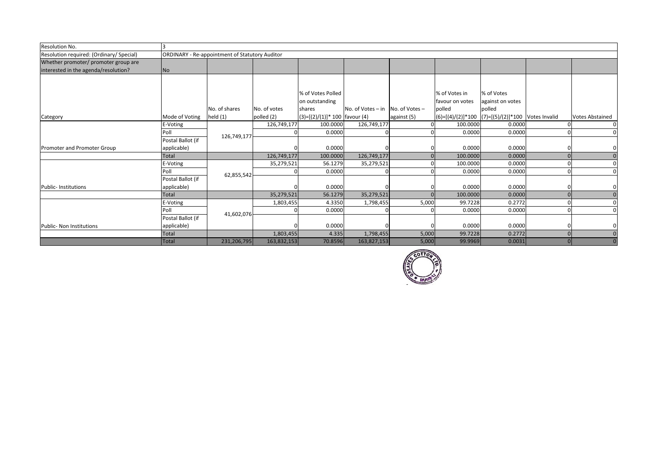| Resolution No.                           |                   |                                                |              |                                  |                   |                |                                                   |                  |                        |
|------------------------------------------|-------------------|------------------------------------------------|--------------|----------------------------------|-------------------|----------------|---------------------------------------------------|------------------|------------------------|
| Resolution required: (Ordinary/ Special) |                   | ORDINARY - Re-appointment of Statutory Auditor |              |                                  |                   |                |                                                   |                  |                        |
| Whether promoter/ promoter group are     |                   |                                                |              |                                  |                   |                |                                                   |                  |                        |
| interested in the agenda/resolution?     | No                |                                                |              |                                  |                   |                |                                                   |                  |                        |
|                                          |                   |                                                |              |                                  |                   |                |                                                   |                  |                        |
|                                          |                   |                                                |              |                                  |                   |                |                                                   |                  |                        |
|                                          |                   |                                                |              | % of Votes Polled                |                   |                | % of Votes in                                     | % of Votes       |                        |
|                                          |                   |                                                |              | on outstanding                   |                   |                | favour on votes                                   | against on votes |                        |
|                                          |                   | No. of shares                                  | No. of votes | shares                           | No. of Votes - in | No. of Votes - | polled                                            | polled           |                        |
| Category                                 | Mode of Voting    | held $(1)$                                     | polled (2)   | $(3)=[(2)/(1)]$ * 100 favour (4) |                   | against (5)    | (6)=[(4)/(2)]*100 (7)=[(5)/(2)]*100 Votes Invalid |                  | <b>Votes Abstained</b> |
|                                          | E-Voting          |                                                | 126,749,177  | 100.0000                         | 126,749,177       |                | 100.0000                                          | 0.0000           | $\Omega$               |
|                                          | Poll              | 126,749,177                                    |              | 0.0000                           |                   |                | 0.0000                                            | 0.0000           | $\Omega$               |
|                                          | Postal Ballot (if |                                                |              |                                  |                   |                |                                                   |                  |                        |
| Promoter and Promoter Group              | applicable)       |                                                |              | 0.0000                           |                   |                | 0.0000                                            | 0.0000           |                        |
|                                          | <b>Total</b>      |                                                | 126,749,177  | 100.0000                         | 126,749,177       |                | 100.0000                                          | 0.0000           | $\Omega$               |
|                                          | E-Voting          |                                                | 35,279,521   | 56.1279                          | 35,279,521        |                | 100.0000                                          | 0.0000           | $\Omega$               |
|                                          | Poll              | 62,855,542                                     |              | 0.0000                           |                   |                | 0.0000                                            | 0.0000           | $\Omega$               |
|                                          | Postal Ballot (if |                                                |              |                                  |                   |                |                                                   |                  |                        |
| Public- Institutions                     | applicable)       |                                                |              | 0.0000                           |                   |                | 0.0000                                            | 0.0000           |                        |
|                                          | <b>Total</b>      |                                                | 35,279,521   | 56.1279                          | 35,279,521        |                | 100.0000                                          | 0.0000           | $\overline{0}$         |
|                                          | E-Voting          |                                                | 1,803,455    | 4.3350                           | 1,798,455         | 5,000          | 99.7228                                           | 0.2772           | $\Omega$               |
|                                          | Poll              |                                                |              | 0.0000                           |                   |                | 0.0000                                            | 0.0000           | $\Omega$               |
|                                          | Postal Ballot (if | 41,602,076                                     |              |                                  |                   |                |                                                   |                  |                        |
| <b>Public- Non Institutions</b>          | applicable)       |                                                |              | 0.0000                           |                   |                | 0.0000                                            | 0.0000           |                        |
|                                          | <b>Total</b>      |                                                | 1,803,455    | 4.335                            | 1,798,455         | 5,000          | 99.7228                                           | 0.2772           | $\Omega$               |
|                                          | <b>Total</b>      | 231,206,795                                    | 163,832,153  | 70.8596                          | 163,827,153       | 5,000          | 99.9969                                           | 0.0031           |                        |

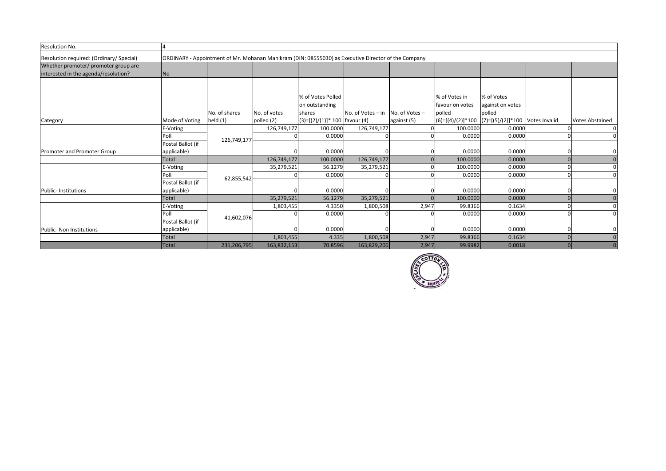| Resolution No.                                                               |                   |                                                                                                     |              |                                     |                   |                |                                                       |                                |                        |
|------------------------------------------------------------------------------|-------------------|-----------------------------------------------------------------------------------------------------|--------------|-------------------------------------|-------------------|----------------|-------------------------------------------------------|--------------------------------|------------------------|
| Resolution required: (Ordinary/ Special)                                     |                   | ORDINARY - Appointment of Mr. Mohanan Manikram (DIN: 08555030) as Executive Director of the Company |              |                                     |                   |                |                                                       |                                |                        |
| Whether promoter/ promoter group are<br>interested in the agenda/resolution? | No                |                                                                                                     |              |                                     |                   |                |                                                       |                                |                        |
|                                                                              |                   |                                                                                                     |              |                                     |                   |                |                                                       |                                |                        |
|                                                                              |                   |                                                                                                     |              | % of Votes Polled<br>on outstanding |                   |                | % of Votes in<br>favour on votes                      | % of Votes<br>against on votes |                        |
|                                                                              |                   | No. of shares                                                                                       | No. of votes | shares                              | No. of Votes - in | No. of Votes - | polled                                                | polled                         |                        |
| Category                                                                     | Mode of Voting    | held $(1)$                                                                                          | polled (2)   | $(3)=[(2)/(1)]*100$ favour (4)      |                   | against (5)    | $(6)=[(4)/(2)]*100$ $(7)=[(5)/(2)]*100$ Votes Invalid |                                | <b>Votes Abstained</b> |
|                                                                              | E-Voting          |                                                                                                     | 126,749,177  | 100.0000                            | 126,749,177       |                | 100.0000                                              | 0.0000                         |                        |
|                                                                              | Poll              | 126,749,177                                                                                         |              | 0.0000                              |                   |                | 0.0000                                                | 0.0000                         | $\Omega$               |
|                                                                              | Postal Ballot (if |                                                                                                     |              |                                     |                   |                |                                                       |                                |                        |
| Promoter and Promoter Group                                                  | applicable)       |                                                                                                     |              | 0.0000                              |                   |                | 0.0000                                                | 0.0000                         |                        |
|                                                                              | <b>Total</b>      |                                                                                                     | 126,749,177  | 100.0000                            | 126,749,177       |                | 100.0000                                              | 0.0000                         | $\Omega$               |
|                                                                              | E-Voting          |                                                                                                     | 35,279,521   | 56.1279                             | 35,279,521        |                | 100.0000                                              | 0.0000                         | $\Omega$               |
|                                                                              | Poll              | 62,855,542                                                                                          |              | 0.0000                              |                   |                | 0.0000                                                | 0.0000                         |                        |
|                                                                              | Postal Ballot (if |                                                                                                     |              |                                     |                   |                |                                                       |                                |                        |
| <b>Public-Institutions</b>                                                   | applicable)       |                                                                                                     |              | 0.0000                              |                   |                | 0.0000                                                | 0.0000                         |                        |
|                                                                              | Total             |                                                                                                     | 35,279,521   | 56.1279                             | 35,279,521        |                | 100.0000                                              | 0.0000                         | $\Omega$               |
|                                                                              | E-Voting          |                                                                                                     | 1,803,455    | 4.3350                              | 1,800,508         | 2,947          | 99.8366                                               | 0.1634                         |                        |
|                                                                              | Poll              | 41,602,076                                                                                          |              | 0.0000                              |                   |                | 0.0000                                                | 0.0000                         |                        |
|                                                                              | Postal Ballot (if |                                                                                                     |              |                                     |                   |                |                                                       |                                |                        |
| Public- Non Institutions                                                     | applicable)       |                                                                                                     |              | 0.0000                              |                   |                | 0.0000                                                | 0.0000                         |                        |
|                                                                              | <b>Total</b>      |                                                                                                     | 1,803,455    | 4.335                               | 1,800,508         | 2,947          | 99.8366                                               | 0.1634                         | $\Omega$               |
|                                                                              | Total             | 231,206,795                                                                                         | 163,832,153  | 70.8596                             | 163,829,206       | 2,947          | 99.9982                                               | 0.0018                         |                        |

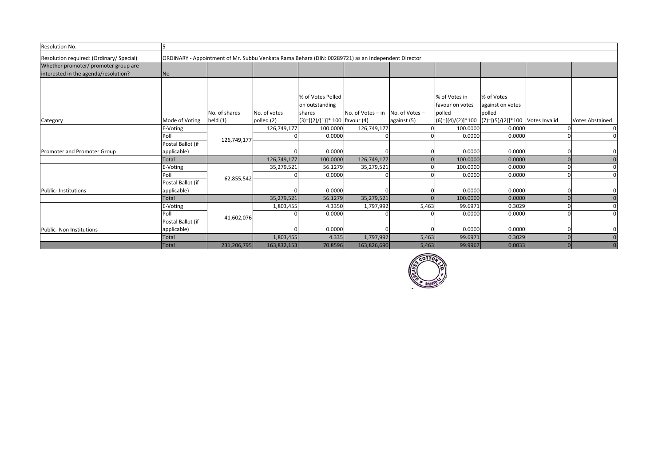| Resolution No.                                                               | רו                |                                                                                                    |              |                                     |                   |                |                                                       |                                |                        |
|------------------------------------------------------------------------------|-------------------|----------------------------------------------------------------------------------------------------|--------------|-------------------------------------|-------------------|----------------|-------------------------------------------------------|--------------------------------|------------------------|
| Resolution required: (Ordinary/ Special)                                     |                   | ORDINARY - Appointment of Mr. Subbu Venkata Rama Behara (DIN: 00289721) as an Independent Director |              |                                     |                   |                |                                                       |                                |                        |
| Whether promoter/ promoter group are<br>interested in the agenda/resolution? | No                |                                                                                                    |              |                                     |                   |                |                                                       |                                |                        |
|                                                                              |                   |                                                                                                    |              |                                     |                   |                |                                                       |                                |                        |
|                                                                              |                   |                                                                                                    |              | % of Votes Polled<br>on outstanding |                   |                | % of Votes in<br>favour on votes                      | % of Votes<br>against on votes |                        |
|                                                                              |                   | No. of shares                                                                                      | No. of votes | shares                              | No. of Votes - in | No. of Votes - | polled                                                | polled                         |                        |
| Category                                                                     | Mode of Voting    | held $(1)$                                                                                         | polled (2)   | $(3)=[(2)/(1)]*100$ favour (4)      |                   | against (5)    | $(6)=[(4)/(2)]*100$ $(7)=[(5)/(2)]*100$ Votes Invalid |                                | <b>Votes Abstained</b> |
|                                                                              | E-Voting          |                                                                                                    | 126,749,177  | 100.0000                            | 126,749,177       |                | 100.0000                                              | 0.0000                         |                        |
|                                                                              | Poll              | 126,749,177                                                                                        |              | 0.0000                              |                   |                | 0.0000                                                | 0.0000                         | $\Omega$               |
|                                                                              | Postal Ballot (if |                                                                                                    |              |                                     |                   |                |                                                       |                                |                        |
| Promoter and Promoter Group                                                  | applicable)       |                                                                                                    |              | 0.0000                              |                   |                | 0.0000                                                | 0.0000                         |                        |
|                                                                              | Total             |                                                                                                    | 126,749,177  | 100.0000                            | 126,749,177       |                | 100.0000                                              | 0.0000                         | $\Omega$               |
|                                                                              | E-Voting          |                                                                                                    | 35,279,521   | 56.1279                             | 35,279,521        |                | 100.0000                                              | 0.0000                         | $\Omega$               |
|                                                                              | Poll              | 62,855,542                                                                                         |              | 0.0000                              |                   |                | 0.0000                                                | 0.0000                         | $\Omega$               |
|                                                                              | Postal Ballot (if |                                                                                                    |              |                                     |                   |                |                                                       |                                |                        |
| <b>Public-Institutions</b>                                                   | applicable)       |                                                                                                    |              | 0.0000                              |                   |                | 0.0000                                                | 0.0000                         |                        |
|                                                                              | Total             |                                                                                                    | 35,279,521   | 56.1279                             | 35,279,521        |                | 100.0000                                              | 0.0000                         | $\Omega$               |
|                                                                              | E-Voting          |                                                                                                    | 1,803,455    | 4.3350                              | 1,797,992         | 5,463          | 99.6971                                               | 0.3029                         |                        |
|                                                                              | Poll              | 41,602,076                                                                                         |              | 0.0000                              |                   |                | 0.0000                                                | 0.0000                         |                        |
|                                                                              | Postal Ballot (if |                                                                                                    |              |                                     |                   |                |                                                       |                                |                        |
| <b>Public- Non Institutions</b>                                              | applicable)       |                                                                                                    |              | 0.0000                              |                   |                | 0.0000                                                | 0.0000                         |                        |
|                                                                              | <b>Total</b>      |                                                                                                    | 1,803,455    | 4.335                               | 1,797,992         | 5,463          | 99.6971                                               | 0.3029                         | $\Omega$               |
|                                                                              | Total             | 231,206,795                                                                                        | 163,832,153  | 70.8596                             | 163,826,690       | 5,463          | 99.9967                                               | 0.0033                         |                        |

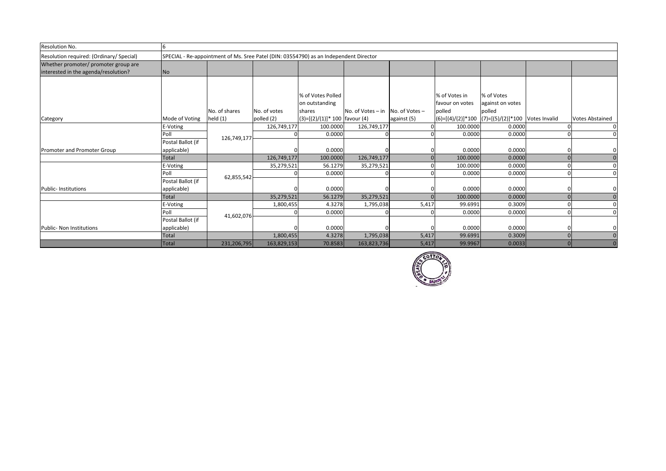| Resolution No.                           | -6                |                                                                                       |              |                                  |                     |                |                 |                                                   |  |                        |
|------------------------------------------|-------------------|---------------------------------------------------------------------------------------|--------------|----------------------------------|---------------------|----------------|-----------------|---------------------------------------------------|--|------------------------|
| Resolution required: (Ordinary/ Special) |                   | SPECIAL - Re-appointment of Ms. Sree Patel (DIN: 03554790) as an Independent Director |              |                                  |                     |                |                 |                                                   |  |                        |
| Whether promoter/ promoter group are     |                   |                                                                                       |              |                                  |                     |                |                 |                                                   |  |                        |
| interested in the agenda/resolution?     | No                |                                                                                       |              |                                  |                     |                |                 |                                                   |  |                        |
|                                          |                   |                                                                                       |              |                                  |                     |                |                 |                                                   |  |                        |
|                                          |                   |                                                                                       |              |                                  |                     |                |                 |                                                   |  |                        |
|                                          |                   |                                                                                       |              | % of Votes Polled                |                     |                | % of Votes in   | % of Votes                                        |  |                        |
|                                          |                   |                                                                                       |              | on outstanding                   |                     |                | favour on votes | against on votes                                  |  |                        |
|                                          |                   | No. of shares                                                                         | No. of votes | shares                           | No. of Votes $-$ in | No. of Votes - | polled          | polled                                            |  |                        |
| Category                                 | Mode of Voting    | held $(1)$                                                                            | polled (2)   | $(3)=[(2)/(1)]$ * 100 favour (4) |                     | against (5)    |                 | (6)=[(4)/(2)]*100 (7)=[(5)/(2)]*100 Votes Invalid |  | <b>Votes Abstained</b> |
|                                          | E-Voting          |                                                                                       | 126,749,177  | 100.0000                         | 126,749,177         |                | 100.0000        | 0.0000                                            |  | $\Omega$               |
|                                          | Poll              | 126,749,177                                                                           |              | 0.0000                           |                     |                | 0.0000          | 0.0000                                            |  | $\Omega$               |
|                                          | Postal Ballot (if |                                                                                       |              |                                  |                     |                |                 |                                                   |  |                        |
| Promoter and Promoter Group              | applicable)       |                                                                                       |              | 0.0000                           |                     |                | 0.0000          | 0.0000                                            |  |                        |
|                                          | Total             |                                                                                       | 126,749,177  | 100.0000                         | 126,749,177         |                | 100.0000        | 0.0000                                            |  | $\Omega$               |
|                                          | E-Voting          |                                                                                       | 35,279,521   | 56.1279                          | 35,279,521          |                | 100.0000        | 0.0000                                            |  |                        |
|                                          | Poll              |                                                                                       |              | 0.0000                           |                     |                | 0.0000          | 0.0000                                            |  | $\Omega$               |
|                                          | Postal Ballot (if | 62,855,542                                                                            |              |                                  |                     |                |                 |                                                   |  |                        |
| <b>Public-Institutions</b>               | applicable)       |                                                                                       |              | 0.0000                           |                     |                | 0.0000          | 0.0000                                            |  |                        |
|                                          | Total             |                                                                                       | 35,279,521   | 56.1279                          | 35,279,521          |                | 100.0000        | 0.0000                                            |  | $\Omega$               |
|                                          | E-Voting          |                                                                                       | 1,800,455    | 4.3278                           | 1,795,038           | 5,417          | 99.6991         | 0.3009                                            |  |                        |
|                                          | Poll              |                                                                                       |              | 0.0000                           |                     |                | 0.0000          | 0.0000                                            |  | $\Omega$               |
|                                          | Postal Ballot (if | 41,602,076                                                                            |              |                                  |                     |                |                 |                                                   |  |                        |
| Public- Non Institutions                 | applicable)       |                                                                                       |              | 0.0000                           |                     |                | 0.0000          | 0.0000                                            |  |                        |
|                                          | <b>Total</b>      |                                                                                       | 1,800,455    | 4.3278                           | 1,795,038           | 5,417          | 99.6991         | 0.3009                                            |  | $\Omega$               |
|                                          | Total             | 231,206,795                                                                           | 163,829,153  | 70.8583                          | 163,823,736         | 5,417          | 99.9967         | 0.0033                                            |  |                        |

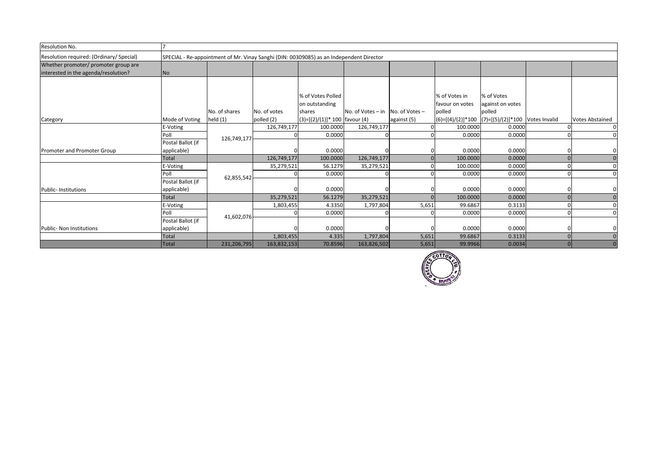| Resolution No.                           |                   |                                                                                         |              |                                  |                   |                |                                                       |                  |  |                        |
|------------------------------------------|-------------------|-----------------------------------------------------------------------------------------|--------------|----------------------------------|-------------------|----------------|-------------------------------------------------------|------------------|--|------------------------|
| Resolution required: (Ordinary/ Special) |                   | SPECIAL - Re-appointment of Mr. Vinay Sanghi (DIN: 00309085) as an Independent Director |              |                                  |                   |                |                                                       |                  |  |                        |
| Whether promoter/ promoter group are     |                   |                                                                                         |              |                                  |                   |                |                                                       |                  |  |                        |
| interested in the agenda/resolution?     | No                |                                                                                         |              |                                  |                   |                |                                                       |                  |  |                        |
|                                          |                   |                                                                                         |              |                                  |                   |                |                                                       |                  |  |                        |
|                                          |                   |                                                                                         |              |                                  |                   |                |                                                       |                  |  |                        |
|                                          |                   |                                                                                         |              | % of Votes Polled                |                   |                | % of Votes in                                         | % of Votes       |  |                        |
|                                          |                   |                                                                                         |              | on outstanding                   |                   |                | favour on votes                                       | against on votes |  |                        |
|                                          |                   | No. of shares                                                                           | No. of votes | shares                           | No. of Votes - in | No. of Votes - | polled                                                | polled           |  |                        |
| Category                                 | Mode of Voting    | held $(1)$                                                                              | polled (2)   | $(3)=[(2)/(1)]$ * 100 favour (4) |                   | against (5)    | $(6)=[(4)/(2)]*100$ $(7)=[(5)/(2)]*100$ Votes Invalid |                  |  | <b>Votes Abstained</b> |
|                                          | E-Voting          |                                                                                         | 126,749,177  | 100.0000                         | 126,749,177       |                | 100.0000                                              | 0.0000           |  | $\Omega$               |
|                                          | Poll              |                                                                                         |              | 0.0000                           |                   |                | 0.0000                                                | 0.0000           |  |                        |
|                                          | Postal Ballot (if | 126,749,177                                                                             |              |                                  |                   |                |                                                       |                  |  |                        |
| Promoter and Promoter Group              | applicable)       |                                                                                         |              | 0.0000                           |                   |                | 0.0000                                                | 0.0000           |  |                        |
|                                          | Total             |                                                                                         | 126,749,177  | 100.0000                         | 126,749,177       |                | 100.0000                                              | 0.0000           |  | $\Omega$               |
|                                          | E-Voting          |                                                                                         | 35,279,521   | 56.1279                          | 35,279,521        |                | 100.0000                                              | 0.0000           |  |                        |
|                                          | Poll              |                                                                                         |              | 0.0000                           |                   |                | 0.0000                                                | 0.0000           |  |                        |
|                                          | Postal Ballot (if | 62,855,542                                                                              |              |                                  |                   |                |                                                       |                  |  |                        |
| <b>Public-Institutions</b>               | applicable)       |                                                                                         |              | 0.0000                           |                   |                | 0.0000                                                | 0.0000           |  |                        |
|                                          | Total             |                                                                                         | 35,279,521   | 56.1279                          | 35,279,521        |                | 100.0000                                              | 0.0000           |  | $\Omega$               |
|                                          | E-Voting          |                                                                                         | 1,803,455    | 4.3350                           | 1,797,804         | 5,651          | 99.6867                                               | 0.3133           |  |                        |
|                                          | Poll              |                                                                                         |              | 0.0000                           |                   |                | 0.0000                                                | 0.0000           |  | $\Omega$               |
|                                          | Postal Ballot (if | 41,602,076                                                                              |              |                                  |                   |                |                                                       |                  |  |                        |
| Public- Non Institutions                 | applicable)       |                                                                                         |              | 0.0000                           |                   |                | 0.0000                                                | 0.0000           |  |                        |
|                                          | <b>Total</b>      |                                                                                         | 1,803,455    | 4.335                            | 1,797,804         | 5,651          | 99.6867                                               | 0.3133           |  | $\Omega$               |
|                                          | Total             | 231,206,795                                                                             | 163,832,153  | 70.8596                          | 163,826,502       | 5,651          | 99.9966                                               | 0.0034           |  |                        |

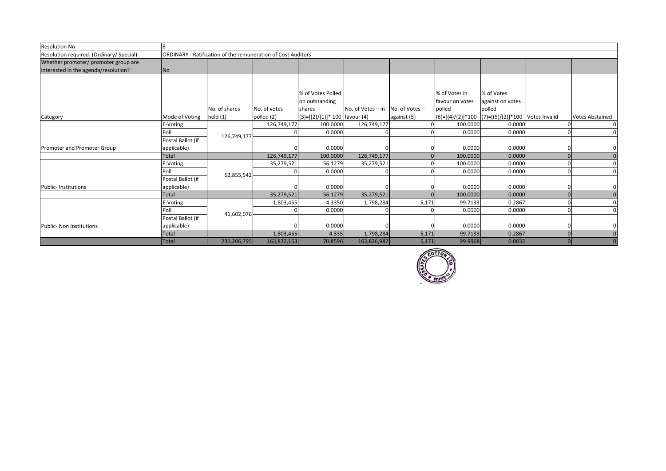| Resolution No.                           | 8                 |                                                              |              |                                  |                   |                |                                                       |                  |  |                        |
|------------------------------------------|-------------------|--------------------------------------------------------------|--------------|----------------------------------|-------------------|----------------|-------------------------------------------------------|------------------|--|------------------------|
| Resolution required: (Ordinary/ Special) |                   | ORDINARY - Ratification of the remuneration of Cost Auditors |              |                                  |                   |                |                                                       |                  |  |                        |
| Whether promoter/ promoter group are     |                   |                                                              |              |                                  |                   |                |                                                       |                  |  |                        |
| interested in the agenda/resolution?     | No                |                                                              |              |                                  |                   |                |                                                       |                  |  |                        |
|                                          |                   |                                                              |              |                                  |                   |                |                                                       |                  |  |                        |
|                                          |                   |                                                              |              |                                  |                   |                |                                                       |                  |  |                        |
|                                          |                   |                                                              |              | % of Votes Polled                |                   |                | % of Votes in                                         | % of Votes       |  |                        |
|                                          |                   |                                                              |              | on outstanding                   |                   |                | favour on votes                                       | against on votes |  |                        |
|                                          |                   | No. of shares                                                | No. of votes | shares                           | No. of Votes - in | No. of Votes - | polled                                                | polled           |  |                        |
| Category                                 | Mode of Voting    | held $(1)$                                                   | polled (2)   | $(3)=[(2)/(1)]^* 100$ favour (4) |                   | against (5)    | $(6)=[(4)/(2)]*100$ $(7)=[(5)/(2)]*100$ Votes Invalid |                  |  | <b>Votes Abstained</b> |
|                                          | E-Voting          |                                                              | 126,749,177  | 100.0000                         | 126,749,177       |                | 100.0000                                              | 0.0000           |  | $\Omega$               |
|                                          | Poll              | 126,749,177                                                  |              | 0.0000                           |                   |                | 0.0000                                                | 0.0000           |  | $\Omega$               |
|                                          | Postal Ballot (if |                                                              |              |                                  |                   |                |                                                       |                  |  |                        |
| <b>Promoter and Promoter Group</b>       | applicable)       |                                                              |              | 0.0000                           |                   |                | 0.0000                                                | 0.0000           |  |                        |
|                                          | Total             |                                                              | 126,749,177  | 100.0000                         | 126,749,177       |                | 100.0000                                              | 0.0000           |  | $\Omega$               |
|                                          | E-Voting          |                                                              | 35,279,521   | 56.1279                          | 35,279,521        |                | 100.0000                                              | 0.0000           |  | $\Omega$               |
|                                          | Poll              | 62,855,542                                                   |              | 0.0000                           |                   |                | 0.0000                                                | 0.0000           |  | $\Omega$               |
|                                          | Postal Ballot (if |                                                              |              |                                  |                   |                |                                                       |                  |  |                        |
| Public- Institutions                     | applicable)       |                                                              |              | 0.0000                           |                   |                | 0.0000                                                | 0.0000           |  |                        |
|                                          | <b>Total</b>      |                                                              | 35,279,521   | 56.1279                          | 35,279,521        |                | 100.0000                                              | 0.0000           |  | $\overline{0}$         |
|                                          | E-Voting          |                                                              | 1,803,455    | 4.3350                           | 1,798,284         | 5,171          | 99.7133                                               | 0.2867           |  | $\Omega$               |
|                                          | Poll              |                                                              |              | 0.0000                           |                   |                | 0.0000                                                | 0.0000           |  | $\Omega$               |
|                                          | Postal Ballot (if | 41,602,076                                                   |              |                                  |                   |                |                                                       |                  |  |                        |
| Public- Non Institutions                 | applicable)       |                                                              |              | 0.0000                           |                   |                | 0.0000                                                | 0.0000           |  |                        |
|                                          | <b>Total</b>      |                                                              | 1,803,455    | 4.335                            | 1,798,284         | 5,171          | 99.7133                                               | 0.2867           |  | $\Omega$               |
|                                          | <b>Total</b>      | 231,206,795                                                  | 163,832,153  | 70.8596                          | 163,826,982       | 5,171          | 99.9968                                               | 0.0032           |  |                        |

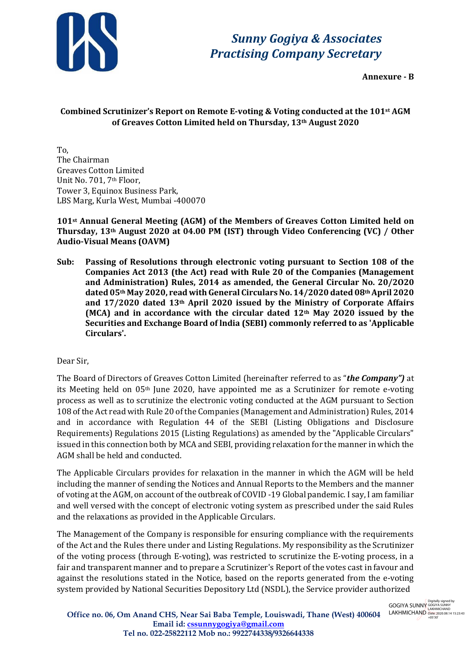

**Annexure - B**

# **Combined Scrutinizer's Report on Remote E-voting & Voting conducted at the 101st AGM of Greaves Cotton Limited held on Thursday, 13th August 2020**

To, The Chairman Greaves Cotton Limited Unit No. 701, 7th Floor, Tower 3, Equinox Business Park, LBS Marg, Kurla West, Mumbai -400070

## **101st Annual General Meeting (AGM) of the Members of Greaves Cotton Limited held on Thursday, 13th August 2020 at 04.00 PM (IST) through Video Conferencing (VC) / Other Audio-Visual Means (OAVM)**

**Sub: Passing of Resolutions through electronic voting pursuant to Section 108 of the Companies Act 2013 (the Act) read with Rule 20 of the Companies (Management and Administration) Rules, 2014 as amended, the General Circular No. 20/2O20 dated 05th May 2020, read with General CircularsNo. 14/2020 dated 08thApril 2020 and 17/2020 dated 13th April 2020 issued by the Ministry of Corporate Affairs (MCA) and in accordance with the circular dated 12th May 2O20 issued by the Securities and Exchange Board of lndia (SEBI) commonly referred to as 'Applicable Circulars'.**

# Dear Sir,

The Board of Directors of Greaves Cotton Limited (hereinafter referred to as "*the Company")* at its Meeting held on 05th June 2020, have appointed me as a Scrutinizer for remote e-voting process as well as to scrutinize the electronic voting conducted at the AGM pursuant to Section 108 of the Act read with Rule 20 of the Companies (Management and Administration) Rules, 2014 and in accordance with Regulation 44 of the SEBI (Listing Obligations and Disclosure Requirements) Regulations 2015 (Listing Regulations) as amended by the "Applicable Circulars" issued in this connection both by MCA and SEBI, providing relaxation for the manner in which the AGM shall be held and conducted.

The Applicable Circulars provides for relaxation in the manner in which the AGM will be held including the manner of sending the Notices and Annual Reports to the Members and the manner of voting at the AGM, on account of the outbreak of COVID -19 Global pandemic. I say, I am familiar and well versed with the concept of electronic voting system as prescribed under the said Rules and the relaxations as provided in the Applicable Circulars.

The Management of the Company is responsible for ensuring compliance with the requirements of the Act and the Rules there under and Listing Regulations. My responsibility as the Scrutinizer of the voting process (through E-voting), was restricted to scrutinize the E-voting process, in a fair and transparent manner and to prepare a Scrutinizer's Report of the votes cast in favour and against the resolutions stated in the Notice, based on the reports generated from the e-voting system provided by National Securities Depository Ltd (NSDL), the Service provider authorized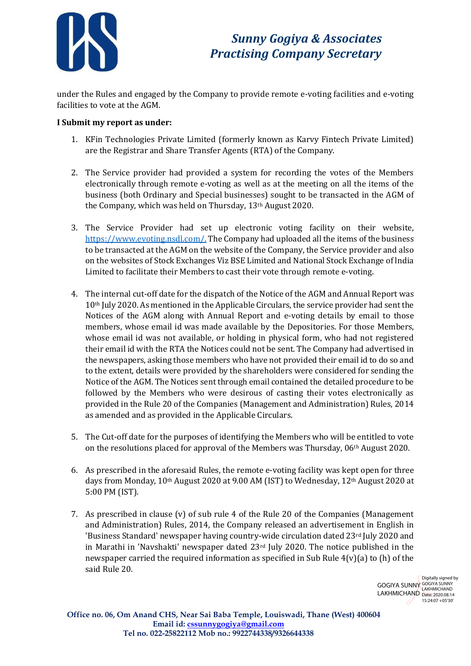

under the Rules and engaged by the Company to provide remote e-voting facilities and e-voting facilities to vote at the AGM.

## **I Submit my report as under:**

- 1. KFin Technologies Private Limited (formerly known as Karvy Fintech Private Limited) are the Registrar and Share Transfer Agents (RTA) of the Company.
- 2. The Service provider had provided a system for recording the votes of the Members electronically through remote e-voting as well as at the meeting on all the items of the business (both Ordinary and Special businesses) sought to be transacted in the AGM of the Company, which was held on Thursday, 13th August 2020.
- 3. The Service Provider had set up electronic voting facility on their website, [https://www.evoting.nsdl.com/.](https://www.evoting.nsdl.com/) The Company had uploaded all the items of the business to be transacted at the AGM on the website of the Company, the Service provider and also on the websites of Stock Exchanges Viz BSE Limited and National Stock Exchange of lndia Limited to facilitate their Members to cast their vote through remote e-voting.
- 4. The internal cut-off date for the dispatch of the Notice of the AGM and Annual Report was 10th July 2020. As mentioned in the Applicable Circulars, the service provider had sent the Notices of the AGM along with Annual Report and e-voting details by email to those members, whose email id was made available by the Depositories. For those Members, whose email id was not available, or holding in physical form, who had not registered their email id with the RTA the Notices could not be sent. The Company had advertised in the newspapers, asking those members who have not provided their email id to do so and to the extent, details were provided by the shareholders were considered for sending the Notice of the AGM. The Notices sent through email contained the detailed procedure to be followed by the Members who were desirous of casting their votes electronically as provided in the Rule 20 of the Companies (Management and Administration) Rules, 2014 as amended and as provided in the Applicable Circulars.
- 5. The Cut-off date for the purposes of identifying the Members who will be entitled to vote on the resolutions placed for approval of the Members was Thursday, 06th August 2020.
- 6. As prescribed in the aforesaid Rules, the remote e-voting facility was kept open for three days from Monday, 10th August 2020 at 9.00 AM (IST) to Wednesday, 12th August 2020 at 5:00 PM (IST).
- 7. As prescribed in clause (v) of sub rule 4 of the Rule 20 of the Companies (Management and Administration) Rules, 2014, the Company released an advertisement in English in 'Business Standard' newspaper having country-wide circulation dated 23rd July 2020 and in Marathi in 'Navshakti' newspaper dated  $23<sup>rd</sup>$  July 2020. The notice published in the newspaper carried the required information as specified in Sub Rule 4(v)(a) to (h) of the said Rule 20.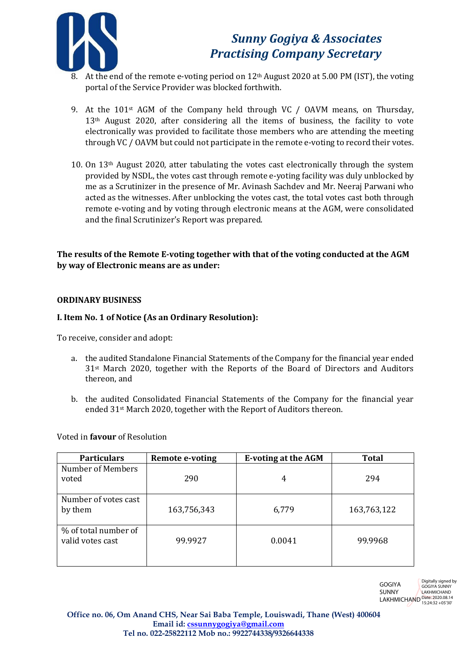

- 8. At the end of the remote e-voting period on  $12<sup>th</sup>$  August 2020 at 5.00 PM (IST), the voting portal of the Service Provider was blocked forthwith.
- 9. At the 101st AGM of the Company held through VC / OAVM means, on Thursday, 13th August 2020, after considering all the items of business, the facility to vote electronically was provided to facilitate those members who are attending the meeting through VC / OAVM but could not participate in the remote e-voting to record their votes.
- 10. On 13th August 2020, atter tabulating the votes cast electronically through the system provided by NSDL, the votes cast through remote e-yoting facility was duly unblocked by me as a Scrutinizer in the presence of Mr. Avinash Sachdev and Mr. Neeraj Parwani who acted as the witnesses. After unblocking the votes cast, the total votes cast both through remote e-voting and by voting through electronic means at the AGM, were consolidated and the final Scrutinizer's Report was prepared.

## **The results of the Remote E-voting together with that of the voting conducted at the AGM by way of Electronic means are as under:**

## **ORDINARY BUSINESS**

## **I. Item No. 1 of Notice (As an Ordinary Resolution):**

To receive, consider and adopt:

- a. the audited Standalone Financial Statements of the Company for the financial year ended 31st March 2020, together with the Reports of the Board of Directors and Auditors thereon, and
- b. the audited Consolidated Financial Statements of the Company for the financial year ended 31st March 2020, together with the Report of Auditors thereon.

Voted in **favour** of Resolution

| <b>Particulars</b>                       | <b>Remote e-voting</b> | <b>E-voting at the AGM</b> | <b>Total</b> |
|------------------------------------------|------------------------|----------------------------|--------------|
| Number of Members<br>voted               | 290                    | 4                          | 294          |
| Number of votes cast<br>by them          | 163,756,343            | 6,779                      | 163,763,122  |
| % of total number of<br>valid votes cast | 99.9927                | 0.0041                     | 99.9968      |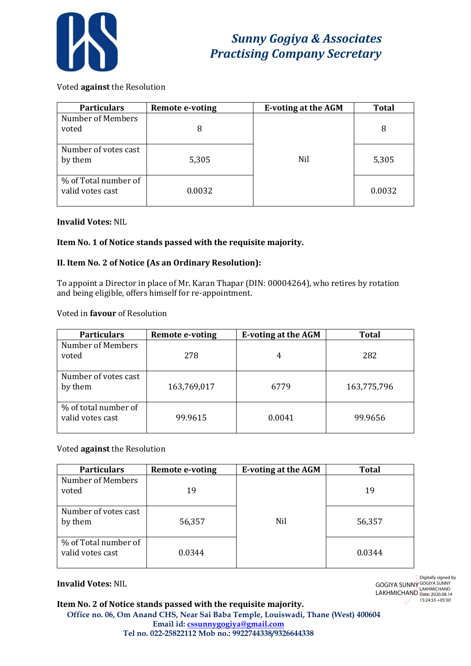

## Voted **against** the Resolution

| <b>Particulars</b>                       | <b>Remote e-voting</b> | <b>E-voting at the AGM</b> | <b>Total</b> |
|------------------------------------------|------------------------|----------------------------|--------------|
| Number of Members<br>voted               | 8                      |                            | 8            |
| Number of votes cast<br>by them          | 5,305                  | Nil                        | 5,305        |
| % of Total number of<br>valid votes cast | 0.0032                 |                            | 0.0032       |

## **Invalid Votes:** NIL

## **Item No. 1 of Notice stands passed with the requisite majority.**

## **II. Item No. 2 of Notice (As an Ordinary Resolution):**

To appoint a Director in place of Mr. Karan Thapar (DIN: 00004264), who retires by rotation and being eligible, offers himself for re-appointment.

#### Voted in **favour** of Resolution

| <b>Particulars</b>                       | <b>Remote e-voting</b> | <b>E-voting at the AGM</b> | Total       |
|------------------------------------------|------------------------|----------------------------|-------------|
| Number of Members<br>voted               | 278                    | 4                          | 282         |
| Number of votes cast<br>by them          | 163,769,017            | 6779                       | 163,775,796 |
| % of total number of<br>valid votes cast | 99.9615                | 0.0041                     | 99.9656     |

#### Voted **against** the Resolution

| <b>Particulars</b>                       | <b>Remote e-voting</b> | <b>E-voting at the AGM</b> | <b>Total</b> |
|------------------------------------------|------------------------|----------------------------|--------------|
| Number of Members<br>voted               | 19                     |                            | 19           |
| Number of votes cast<br>by them          | 56,357                 | Nil                        | 56,357       |
| % of Total number of<br>valid votes cast | 0.0344                 |                            | 0.0344       |

#### **Invalid Votes:** NIL

GOGIYA SUNNY **LAKHMICHAND** Digitally signed by GOGIYA SUNNY LAKHMICHAND Date: 2020.08.14 15:24:55 +05'30'

#### **Item No. 2 of Notice stands passed with the requisite majority.**

**Office no. 06, Om Anand CHS, Near Sai Baba Temple, Louiswadi, Thane (West) 400604 Email id[: cssunnygogiya@gmail.com](mailto:cssunnygogiya@gmail.com) Tel no. 022-25822112 Mob no.: 9922744338/9326644338**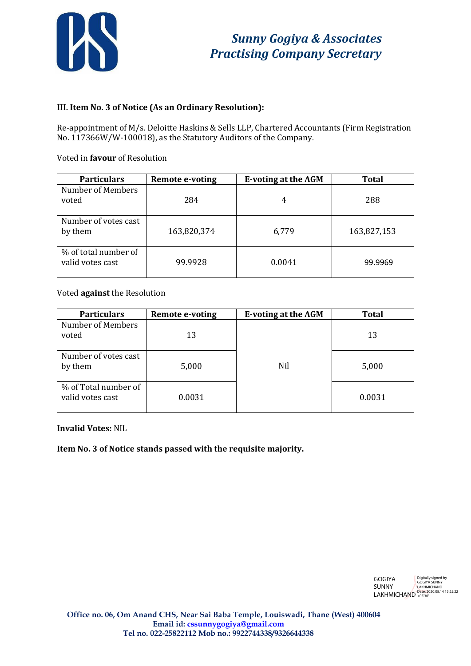

## **III. Item No. 3 of Notice (As an Ordinary Resolution):**

Re-appointment of M/s. Deloitte Haskins & Sells LLP, Chartered Accountants (Firm Registration No. 117366W/W-100018), as the Statutory Auditors of the Company.

Voted in **favour** of Resolution

| <b>Particulars</b>                       | Remote e-voting | <b>E-voting at the AGM</b> | <b>Total</b> |
|------------------------------------------|-----------------|----------------------------|--------------|
| Number of Members<br>voted               | 284             |                            | 288          |
| Number of votes cast<br>by them          | 163,820,374     | 6,779                      | 163,827,153  |
| % of total number of<br>valid votes cast | 99.9928         | 0.0041                     | 99.9969      |

Voted **against** the Resolution

| <b>Particulars</b>                       | <b>Remote e-voting</b> | <b>E-voting at the AGM</b> | <b>Total</b> |
|------------------------------------------|------------------------|----------------------------|--------------|
| Number of Members<br>voted               | 13                     |                            | 13           |
| Number of votes cast<br>by them          | 5,000                  | Nil                        | 5,000        |
| % of Total number of<br>valid votes cast | 0.0031                 |                            | 0.0031       |

**Invalid Votes:** NIL

**Item No. 3 of Notice stands passed with the requisite majority.**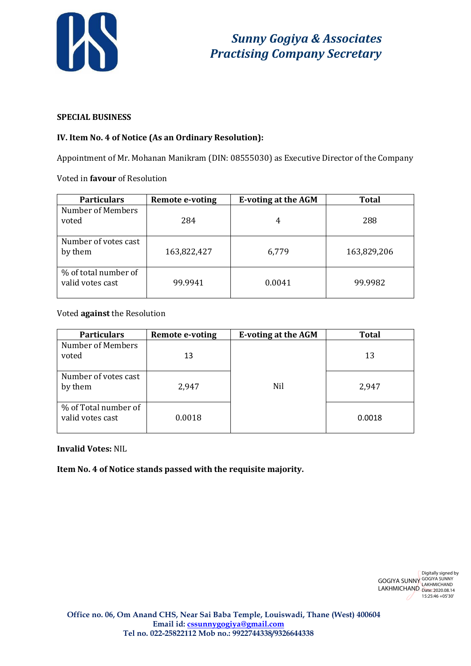

## **SPECIAL BUSINESS**

## **IV. Item No. 4 of Notice (As an Ordinary Resolution):**

Appointment of Mr. Mohanan Manikram (DIN: 08555030) as Executive Director of the Company

Voted in **favour** of Resolution

| <b>Particulars</b>                       | <b>Remote e-voting</b> | <b>E-voting at the AGM</b> | <b>Total</b> |
|------------------------------------------|------------------------|----------------------------|--------------|
| Number of Members<br>voted               | 284                    | 4                          | 288          |
| Number of votes cast<br>by them          | 163,822,427            | 6,779                      | 163,829,206  |
| % of total number of<br>valid votes cast | 99.9941                | 0.0041                     | 99.9982      |

## Voted **against** the Resolution

| <b>Particulars</b>                       | <b>Remote e-voting</b> | <b>E-voting at the AGM</b> | <b>Total</b> |
|------------------------------------------|------------------------|----------------------------|--------------|
| Number of Members<br>voted               | 13                     |                            | 13           |
| Number of votes cast<br>by them          | 2,947                  | <b>Nil</b>                 | 2,947        |
| % of Total number of<br>valid votes cast | 0.0018                 |                            | 0.0018       |

## **Invalid Votes:** NIL

**Item No. 4 of Notice stands passed with the requisite majority.**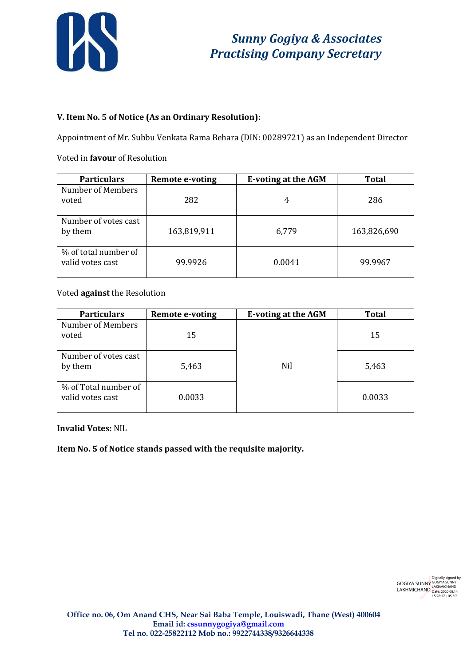

## **V. Item No. 5 of Notice (As an Ordinary Resolution):**

Appointment of Mr. Subbu Venkata Rama Behara (DIN: 00289721) as an Independent Director

#### Voted in **favour** of Resolution

| <b>Particulars</b>                       | <b>Remote e-voting</b> | <b>E-voting at the AGM</b> | <b>Total</b> |
|------------------------------------------|------------------------|----------------------------|--------------|
| Number of Members<br>voted               | 282                    | 4                          | 286          |
| Number of votes cast<br>by them          | 163,819,911            | 6,779                      | 163,826,690  |
| % of total number of<br>valid votes cast | 99.9926                | 0.0041                     | 99.9967      |

Voted **against** the Resolution

| <b>Particulars</b>                       | <b>Remote e-voting</b> | <b>E-voting at the AGM</b> | <b>Total</b> |
|------------------------------------------|------------------------|----------------------------|--------------|
| Number of Members<br>voted               | 15                     |                            | 15           |
| Number of votes cast<br>by them          | 5,463                  | Nil                        | 5,463        |
| % of Total number of<br>valid votes cast | 0.0033                 |                            | 0.0033       |

**Invalid Votes:** NIL

**Item No. 5 of Notice stands passed with the requisite majority.**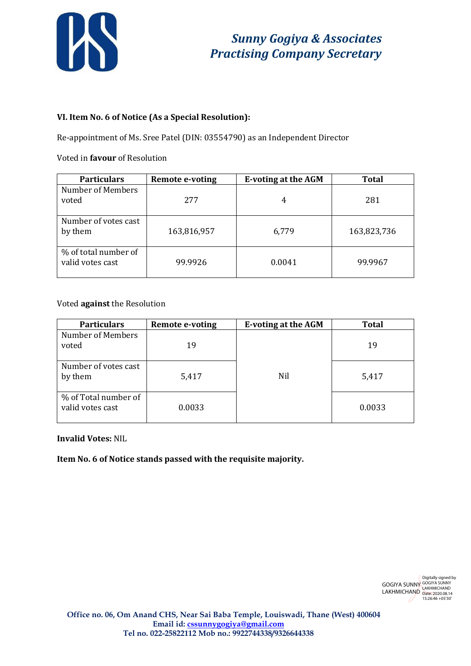

## **VI. Item No. 6 of Notice (As a Special Resolution):**

Re-appointment of Ms. Sree Patel (DIN: 03554790) as an Independent Director

## Voted in **favour** of Resolution

| <b>Particulars</b>                       | <b>Remote e-voting</b> | <b>E-voting at the AGM</b> | <b>Total</b> |
|------------------------------------------|------------------------|----------------------------|--------------|
| Number of Members<br>voted               | 277                    |                            | 281          |
| Number of votes cast<br>by them          | 163,816,957            | 6,779                      | 163,823,736  |
| % of total number of<br>valid votes cast | 99.9926                | 0.0041                     | 99.9967      |

## Voted **against** the Resolution

| <b>Particulars</b>                       | <b>Remote e-voting</b> | <b>E-voting at the AGM</b> | <b>Total</b> |
|------------------------------------------|------------------------|----------------------------|--------------|
| Number of Members<br>voted               | 19                     |                            | 19           |
| Number of votes cast<br>by them          | 5,417                  | Nil                        | 5,417        |
| % of Total number of<br>valid votes cast | 0.0033                 |                            | 0.0033       |

## **Invalid Votes:** NIL

**Item No. 6 of Notice stands passed with the requisite majority.**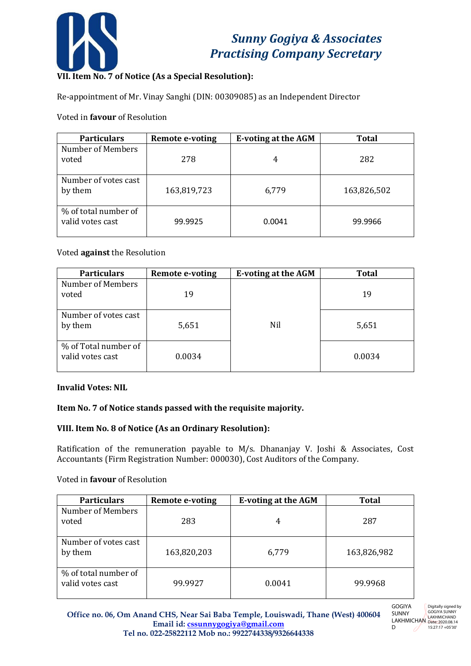

# **VII. Item No. 7 of Notice (As a Special Resolution):**

Re-appointment of Mr. Vinay Sanghi (DIN: 00309085) as an Independent Director

## Voted in **favour** of Resolution

| <b>Particulars</b>                       | <b>Remote e-voting</b> | <b>E-voting at the AGM</b> | <b>Total</b> |
|------------------------------------------|------------------------|----------------------------|--------------|
| Number of Members<br>voted               | 278                    | 4                          | 282          |
| Number of votes cast<br>by them          | 163,819,723            | 6,779                      | 163,826,502  |
| % of total number of<br>valid votes cast | 99.9925                | 0.0041                     | 99.9966      |

## Voted **against** the Resolution

| <b>Particulars</b>                       | <b>Remote e-voting</b> | <b>E-voting at the AGM</b> | <b>Total</b> |
|------------------------------------------|------------------------|----------------------------|--------------|
| Number of Members<br>voted               | 19                     |                            | 19           |
| Number of votes cast<br>by them          | 5,651                  | Nil                        | 5,651        |
| % of Total number of<br>valid votes cast | 0.0034                 |                            | 0.0034       |

## **Invalid Votes: NIL**

## **Item No. 7 of Notice stands passed with the requisite majority.**

## **VIII. Item No. 8 of Notice (As an Ordinary Resolution):**

Ratification of the remuneration payable to M/s. Dhananjay V. Joshi & Associates, Cost Accountants (Firm Registration Number: 000030), Cost Auditors of the Company.

#### Voted in **favour** of Resolution

| <b>Particulars</b>                       | <b>Remote e-voting</b> | <b>E-voting at the AGM</b> | Total       |
|------------------------------------------|------------------------|----------------------------|-------------|
| Number of Members<br>voted               | 283                    | 4                          | 287         |
| Number of votes cast<br>by them          | 163,820,203            | 6,779                      | 163,826,982 |
| % of total number of<br>valid votes cast | 99.9927                | 0.0041                     | 99.9968     |

D